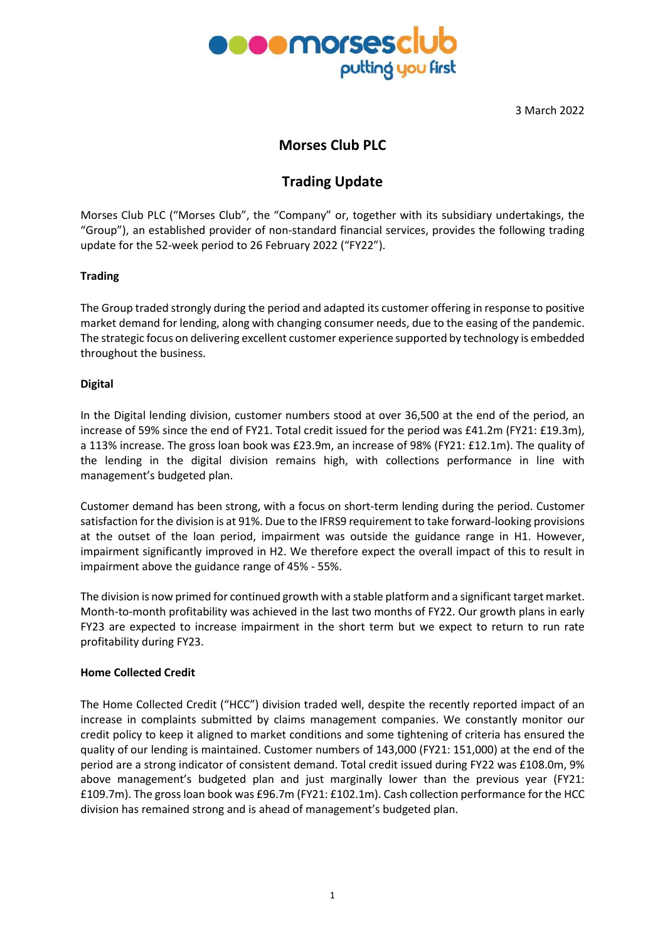

3 March 2022

## **Morses Club PLC**

# **Trading Update**

Morses Club PLC ("Morses Club", the "Company" or, together with its subsidiary undertakings, the "Group"), an established provider of non-standard financial services, provides the following trading update for the 52-week period to 26 February 2022 ("FY22").

## **Trading**

The Group traded strongly during the period and adapted its customer offering in response to positive market demand for lending, along with changing consumer needs, due to the easing of the pandemic. The strategic focus on delivering excellent customer experience supported by technology is embedded throughout the business.

## **Digital**

In the Digital lending division, customer numbers stood at over 36,500 at the end of the period, an increase of 59% since the end of FY21. Total credit issued for the period was £41.2m (FY21: £19.3m), a 113% increase. The gross loan book was £23.9m, an increase of 98% (FY21: £12.1m). The quality of the lending in the digital division remains high, with collections performance in line with management's budgeted plan.

Customer demand has been strong, with a focus on short-term lending during the period. Customer satisfaction forthe division is at 91%. Due to the IFRS9 requirement to take forward-looking provisions at the outset of the loan period, impairment was outside the guidance range in H1. However, impairment significantly improved in H2. We therefore expect the overall impact of this to result in impairment above the guidance range of 45% - 55%.

The division is now primed for continued growth with a stable platform and a significant target market. Month-to-month profitability was achieved in the last two months of FY22. Our growth plans in early FY23 are expected to increase impairment in the short term but we expect to return to run rate profitability during FY23.

#### **Home Collected Credit**

The Home Collected Credit ("HCC") division traded well, despite the recently reported impact of an increase in complaints submitted by claims management companies. We constantly monitor our credit policy to keep it aligned to market conditions and some tightening of criteria has ensured the quality of our lending is maintained. Customer numbers of 143,000 (FY21: 151,000) at the end of the period are a strong indicator of consistent demand. Total credit issued during FY22 was £108.0m, 9% above management's budgeted plan and just marginally lower than the previous year (FY21: £109.7m). The grossloan book was £96.7m (FY21: £102.1m). Cash collection performance for the HCC division has remained strong and is ahead of management's budgeted plan.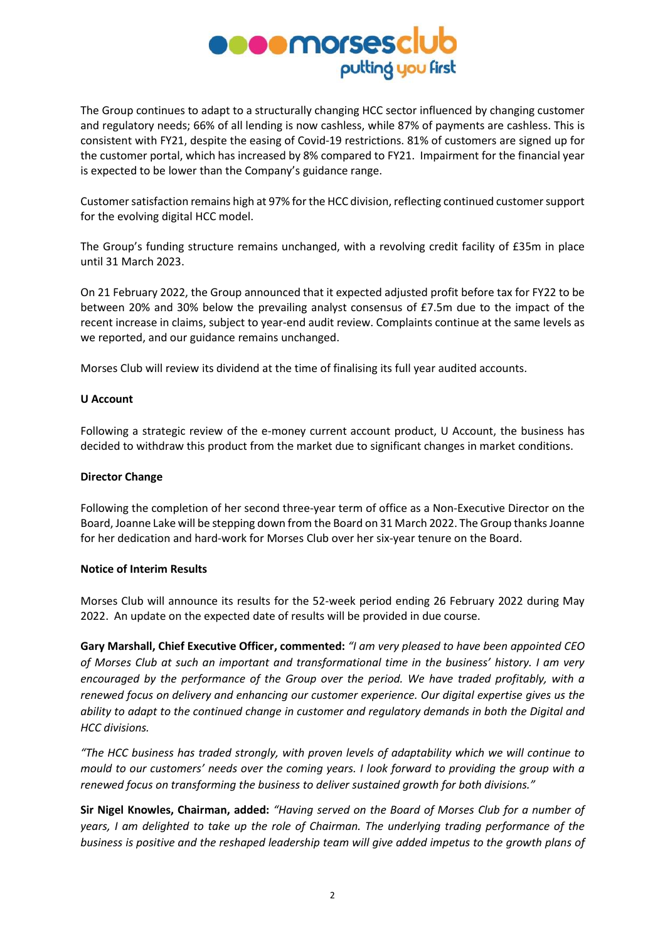

The Group continues to adapt to a structurally changing HCC sector influenced by changing customer and regulatory needs; 66% of all lending is now cashless, while 87% of payments are cashless. This is consistent with FY21, despite the easing of Covid-19 restrictions. 81% of customers are signed up for the customer portal, which has increased by 8% compared to FY21. Impairment for the financial year is expected to be lower than the Company's guidance range.

Customer satisfaction remains high at 97% for the HCC division, reflecting continued customer support for the evolving digital HCC model.

The Group's funding structure remains unchanged, with a revolving credit facility of £35m in place until 31 March 2023.

On 21 February 2022, the Group announced that it expected adjusted profit before tax for FY22 to be between 20% and 30% below the prevailing analyst consensus of £7.5m due to the impact of the recent increase in claims, subject to year-end audit review. Complaints continue at the same levels as we reported, and our guidance remains unchanged.

Morses Club will review its dividend at the time of finalising its full year audited accounts.

#### **U Account**

Following a strategic review of the e-money current account product, U Account, the business has decided to withdraw this product from the market due to significant changes in market conditions.

#### **Director Change**

Following the completion of her second three-year term of office as a Non-Executive Director on the Board, Joanne Lake will be stepping down from the Board on 31 March 2022. The Group thanksJoanne for her dedication and hard-work for Morses Club over her six-year tenure on the Board.

### **Notice of Interim Results**

Morses Club will announce its results for the 52-week period ending 26 February 2022 during May 2022. An update on the expected date of results will be provided in due course.

**Gary Marshall, Chief Executive Officer, commented:** *"I am very pleased to have been appointed CEO of Morses Club at such an important and transformational time in the business' history. I am very encouraged by the performance of the Group over the period. We have traded profitably, with a renewed focus on delivery and enhancing our customer experience. Our digital expertise gives us the ability to adapt to the continued change in customer and regulatory demands in both the Digital and HCC divisions.*

*"The HCC business has traded strongly, with proven levels of adaptability which we will continue to mould to our customers' needs over the coming years. I look forward to providing the group with a renewed focus on transforming the business to deliver sustained growth for both divisions."*

**Sir Nigel Knowles, Chairman, added:** *"Having served on the Board of Morses Club for a number of years, I am delighted to take up the role of Chairman. The underlying trading performance of the business is positive and the reshaped leadership team will give added impetus to the growth plans of*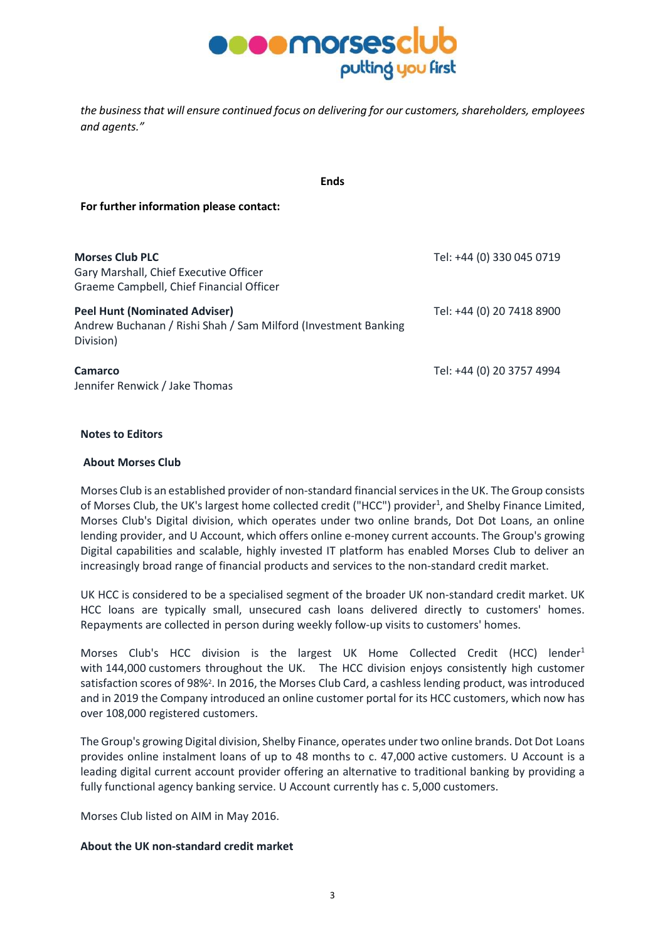

*the business that will ensure continued focus on delivering for our customers, shareholders, employees and agents."*

**Ends**

**For further information please contact:**

| <b>Morses Club PLC</b><br>Gary Marshall, Chief Executive Officer<br>Graeme Campbell, Chief Financial Officer        | Tel: +44 (0) 330 045 0719 |
|---------------------------------------------------------------------------------------------------------------------|---------------------------|
| <b>Peel Hunt (Nominated Adviser)</b><br>Andrew Buchanan / Rishi Shah / Sam Milford (Investment Banking<br>Division) | Tel: +44 (0) 20 7418 8900 |
| <b>Camarco</b><br>Jennifer Renwick / Jake Thomas                                                                    | Tel: +44 (0) 20 3757 4994 |

### **Notes to Editors**

#### **About Morses Club**

Morses Club is an established provider of non-standard financialservicesin the UK. The Group consists of Morses Club, the UK's largest home collected credit ("HCC") provider<sup>1</sup>, and Shelby Finance Limited, Morses Club's Digital division, which operates under two online brands, Dot Dot Loans, an online lending provider, and U Account, which offers online e-money current accounts. The Group's growing Digital capabilities and scalable, highly invested IT platform has enabled Morses Club to deliver an increasingly broad range of financial products and services to the non-standard credit market.

UK HCC is considered to be a specialised segment of the broader UK non-standard credit market. UK HCC loans are typically small, unsecured cash loans delivered directly to customers' homes. Repayments are collected in person during weekly follow-up visits to customers' homes.

Morses Club's HCC division is the largest UK Home Collected Credit (HCC) lender<sup>1</sup> with 144,000 customers throughout the UK. The HCC division enjoys consistently high customer satisfaction scores of 98%<sup>2</sup>. In 2016, the Morses Club Card, a cashless lending product, was introduced and in 2019 the Company introduced an online customer portal for its HCC customers, which now has over 108,000 registered customers.

The Group's growing Digital division, Shelby Finance, operates undertwo online brands. Dot Dot Loans provides online instalment loans of up to 48 months to c. 47,000 active customers. U Account is a leading digital current account provider offering an alternative to traditional banking by providing a fully functional agency banking service. U Account currently has c. 5,000 customers.

Morses Club listed on AIM in May 2016.

#### **About the UK non-standard credit market**